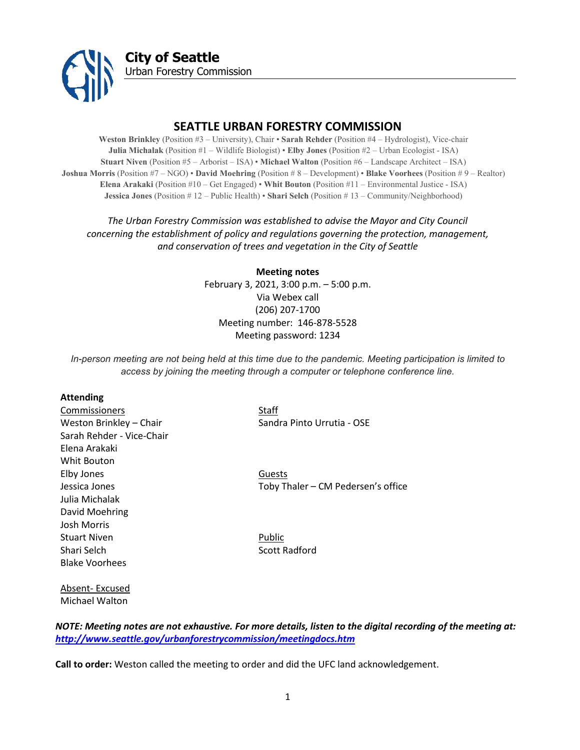

# **SEATTLE URBAN FORESTRY COMMISSION**

**Weston Brinkley** (Position #3 – University), Chair • **Sarah Rehder** (Position #4 – Hydrologist), Vice-chair **Julia Michalak** (Position #1 – Wildlife Biologist) • **Elby Jones** (Position #2 – Urban Ecologist - ISA) **Stuart Niven** (Position #5 – Arborist – ISA) • **Michael Walton** (Position #6 – Landscape Architect – ISA) **Joshua Morris** (Position #7 – NGO) • **David Moehring** (Position # 8 – Development) • **Blake Voorhees** (Position # 9 – Realtor) **Elena Arakaki** (Position #10 – Get Engaged) • **Whit Bouton** (Position #11 – Environmental Justice - ISA) **Jessica Jones** (Position # 12 – Public Health) • **Shari Selch** (Position # 13 – Community/Neighborhood)

# *The Urban Forestry Commission was established to advise the Mayor and City Council concerning the establishment of policy and regulations governing the protection, management, and conservation of trees and vegetation in the City of Seattle*

**Meeting notes** February 3, 2021, 3:00 p.m. – 5:00 p.m. Via Webex call (206) 207-1700 Meeting number: 146-878-5528 Meeting password: 1234

*In-person meeting are not being held at this time due to the pandemic. Meeting participation is limited to access by joining the meeting through a computer or telephone conference line.*

#### **Attending**

Absent- Excused Michael Walton

| Commissioners             | Staff                              |
|---------------------------|------------------------------------|
| Weston Brinkley - Chair   | Sandra Pinto Urrutia - OSE         |
| Sarah Rehder - Vice-Chair |                                    |
| Elena Arakaki             |                                    |
| Whit Bouton               |                                    |
| Elby Jones                | Guests                             |
| Jessica Jones             | Toby Thaler - CM Pedersen's office |
| Julia Michalak            |                                    |
| David Moehring            |                                    |
| Josh Morris               |                                    |
| <b>Stuart Niven</b>       | Public                             |
| Shari Selch               | Scott Radford                      |
| <b>Blake Voorhees</b>     |                                    |
|                           |                                    |
|                           |                                    |

*NOTE: Meeting notes are not exhaustive. For more details, listen to the digital recording of the meeting at: <http://www.seattle.gov/urbanforestrycommission/meetingdocs.htm>*

**Call to order:** Weston called the meeting to order and did the UFC land acknowledgement.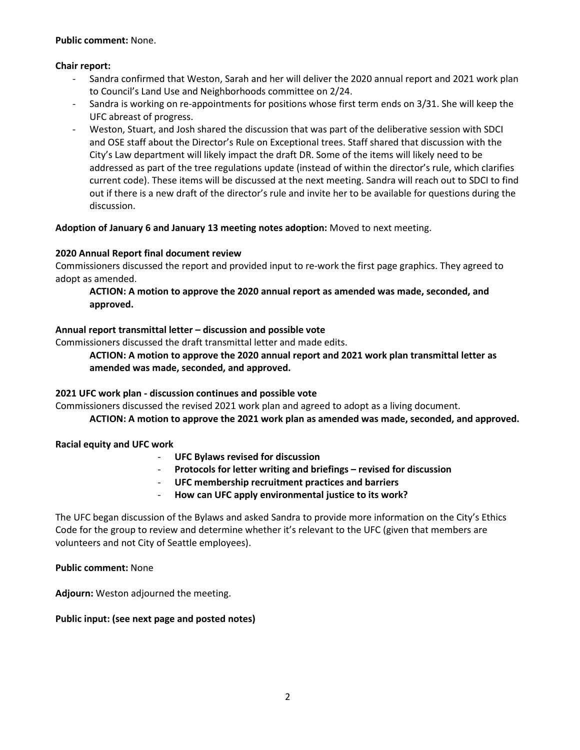## **Public comment:** None.

## **Chair report:**

- Sandra confirmed that Weston, Sarah and her will deliver the 2020 annual report and 2021 work plan to Council's Land Use and Neighborhoods committee on 2/24.
- Sandra is working on re-appointments for positions whose first term ends on 3/31. She will keep the UFC abreast of progress.
- Weston, Stuart, and Josh shared the discussion that was part of the deliberative session with SDCI and OSE staff about the Director's Rule on Exceptional trees. Staff shared that discussion with the City's Law department will likely impact the draft DR. Some of the items will likely need to be addressed as part of the tree regulations update (instead of within the director's rule, which clarifies current code). These items will be discussed at the next meeting. Sandra will reach out to SDCI to find out if there is a new draft of the director's rule and invite her to be available for questions during the discussion.

# **Adoption of January 6 and January 13 meeting notes adoption:** Moved to next meeting.

# **2020 Annual Report final document review**

Commissioners discussed the report and provided input to re-work the first page graphics. They agreed to adopt as amended.

# **ACTION: A motion to approve the 2020 annual report as amended was made, seconded, and approved.**

## **Annual report transmittal letter – discussion and possible vote**

Commissioners discussed the draft transmittal letter and made edits.

# **ACTION: A motion to approve the 2020 annual report and 2021 work plan transmittal letter as amended was made, seconded, and approved.**

# **2021 UFC work plan - discussion continues and possible vote**

Commissioners discussed the revised 2021 work plan and agreed to adopt as a living document.

**ACTION: A motion to approve the 2021 work plan as amended was made, seconded, and approved.** 

# **Racial equity and UFC work**

- **UFC Bylaws revised for discussion**
- **Protocols for letter writing and briefings – revised for discussion**
- **UFC membership recruitment practices and barriers**
- **How can UFC apply environmental justice to its work?**

The UFC began discussion of the Bylaws and asked Sandra to provide more information on the City's Ethics Code for the group to review and determine whether it's relevant to the UFC (given that members are volunteers and not City of Seattle employees).

**Public comment:** None

**Adjourn:** Weston adjourned the meeting.

# **Public input: (see next page and posted notes)**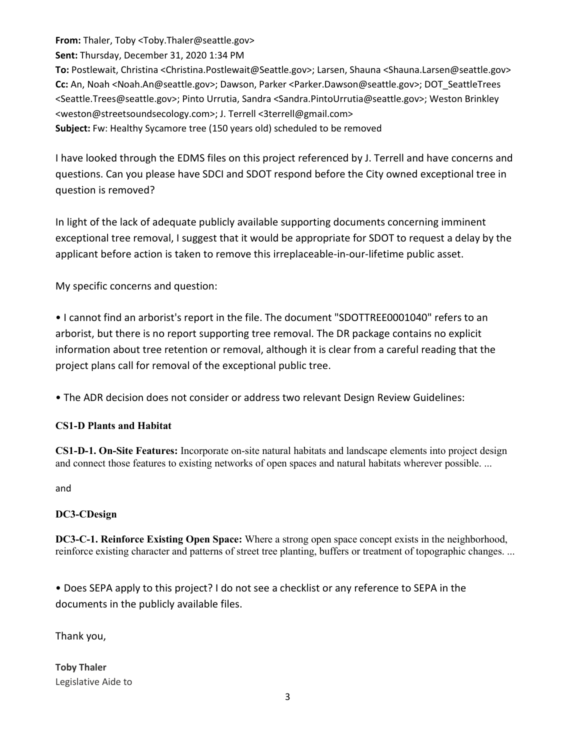**From:** Thaler, Toby <Toby.Thaler@seattle.gov>

**Sent:** Thursday, December 31, 2020 1:34 PM

**To:** Postlewait, Christina <Christina.Postlewait@Seattle.gov>; Larsen, Shauna <Shauna.Larsen@seattle.gov> **Cc:** An, Noah <Noah.An@seattle.gov>; Dawson, Parker <Parker.Dawson@seattle.gov>; DOT\_SeattleTrees <Seattle.Trees@seattle.gov>; Pinto Urrutia, Sandra <Sandra.PintoUrrutia@seattle.gov>; Weston Brinkley <weston@streetsoundsecology.com>; J. Terrell <3terrell@gmail.com> **Subject:** Fw: Healthy Sycamore tree (150 years old) scheduled to be removed

I have looked through the EDMS files on this project referenced by J. Terrell and have concerns and questions. Can you please have SDCI and SDOT respond before the City owned exceptional tree in question is removed?

In light of the lack of adequate publicly available supporting documents concerning imminent exceptional tree removal, I suggest that it would be appropriate for SDOT to request a delay by the applicant before action is taken to remove this irreplaceable-in-our-lifetime public asset.

My specific concerns and question:

• I cannot find an arborist's report in the file. The document "SDOTTREE0001040" refers to an arborist, but there is no report supporting tree removal. The DR package contains no explicit information about tree retention or removal, although it is clear from a careful reading that the project plans call for removal of the exceptional public tree.

• The ADR decision does not consider or address two relevant Design Review Guidelines:

# **CS1-D Plants and Habitat**

**CS1-D-1. On-Site Features:** Incorporate on-site natural habitats and landscape elements into project design and connect those features to existing networks of open spaces and natural habitats wherever possible. ...

and

# **DC3-CDesign**

**DC3-C-1. Reinforce Existing Open Space:** Where a strong open space concept exists in the neighborhood, reinforce existing character and patterns of street tree planting, buffers or treatment of topographic changes. ...

• Does SEPA apply to this project? I do not see a checklist or any reference to SEPA in the documents in the publicly available files.

Thank you,

**Toby Thaler** Legislative Aide to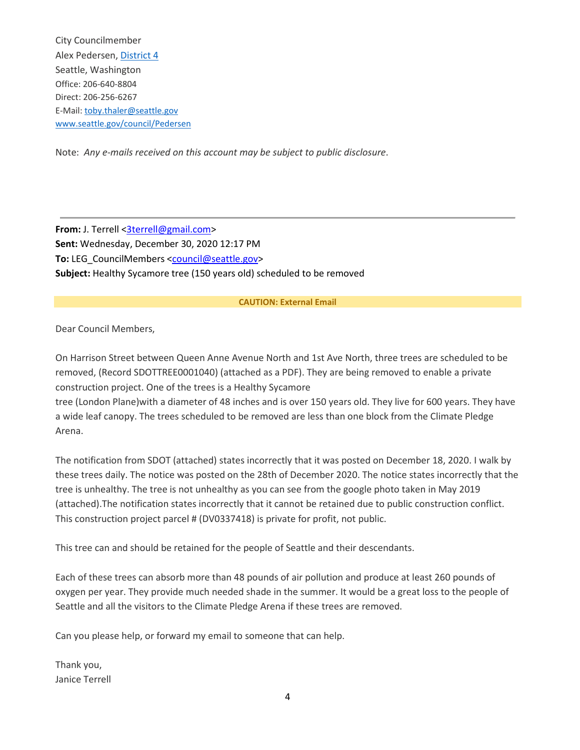City Councilmember Alex Pedersen, [District](https://www.kingcounty.gov/depts/elections/elections/%7E/media/depts/elections/elections/maps/seattle-city-council-maps/seattle-district-4.ashx) 4 Seattle, Washington Office: 206-640-8804 Direct: 206-256-6267 E-Mail: [toby.thaler@seattle.gov](mailto:toby.thaler@seattle.gov) [www.seattle.gov/council/Pedersen](http://www.seattle.gov/council/Pedersen)

Note: *Any e-mails received on this account may be subject to public disclosure*.

**From:** J. Terrell [<3terrell@gmail.com>](mailto:3terrell@gmail.com) **Sent:** Wednesday, December 30, 2020 12:17 PM To: LEG\_CouncilMembers [<council@seattle.gov>](mailto:council@seattle.gov) **Subject:** Healthy Sycamore tree (150 years old) scheduled to be removed

#### **CAUTION: External Email**

Dear Council Members,

On Harrison Street between Queen Anne Avenue North and 1st Ave North, three trees are scheduled to be removed, (Record SDOTTREE0001040) (attached as a PDF). They are being removed to enable a private construction project. One of the trees is a Healthy Sycamore

tree (London Plane)with a diameter of 48 inches and is over 150 years old. They live for 600 years. They have a wide leaf canopy. The trees scheduled to be removed are less than one block from the Climate Pledge Arena.

The notification from SDOT (attached) states incorrectly that it was posted on December 18, 2020. I walk by these trees daily. The notice was posted on the 28th of December 2020. The notice states incorrectly that the tree is unhealthy. The tree is not unhealthy as you can see from the google photo taken in May 2019 (attached).The notification states incorrectly that it cannot be retained due to public construction conflict. This construction project parcel # (DV0337418) is private for profit, not public.

This tree can and should be retained for the people of Seattle and their descendants.

Each of these trees can absorb more than 48 pounds of air pollution and produce at least 260 pounds of oxygen per year. They provide much needed shade in the summer. It would be a great loss to the people of Seattle and all the visitors to the Climate Pledge Arena if these trees are removed.

Can you please help, or forward my email to someone that can help.

Thank you, Janice Terrell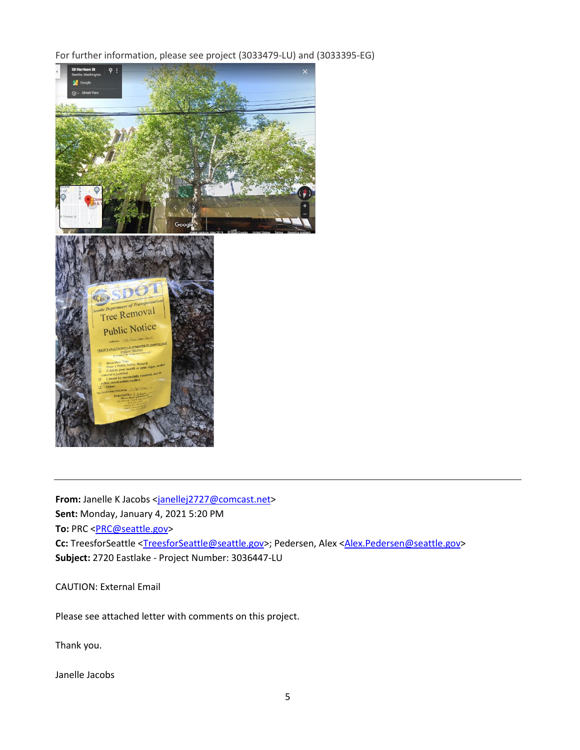For further information, please see project (3033479-LU) and (3033395-EG)



From: Janelle K Jacobs [<janellej2727@comcast.net>](mailto:janellej2727@comcast.net) **Sent:** Monday, January 4, 2021 5:20 PM To: PRC <**PRC@seattle.gov>** Cc: TreesforSeattle [<TreesforSeattle@seattle.gov>](mailto:TreesforSeattle@seattle.gov); Pedersen, Alex [<Alex.Pedersen@seattle.gov>](mailto:Alex.Pedersen@seattle.gov) **Subject:** 2720 Eastlake - Project Number: 3036447-LU

CAUTION: External Email

Please see attached letter with comments on this project.

Thank you.

Janelle Jacobs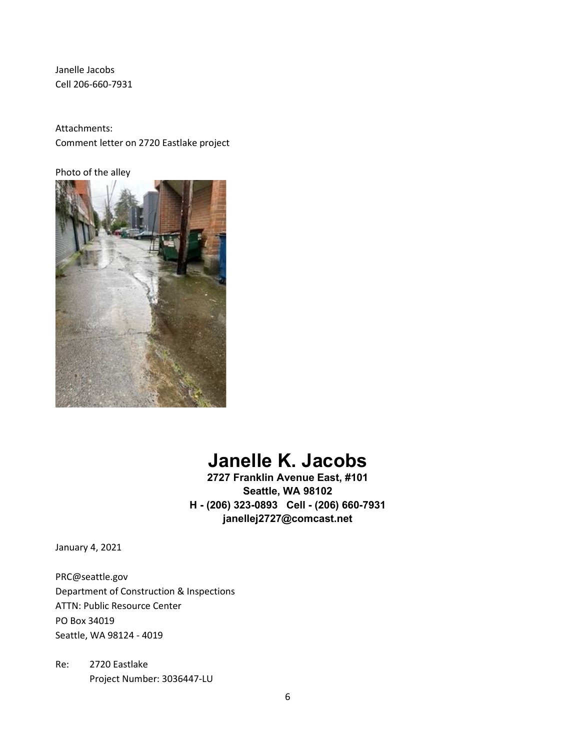Janelle Jacobs Cell 206-660-7931

Attachments: Comment letter on 2720 Eastlake project

Photo of the alley



# **Janelle K. Jacobs**

**2727 Franklin Avenue East, #101 Seattle, WA 98102 H - (206) 323-0893 Cell - (206) 660-7931 janellej2727@comcast.net** 

January 4, 2021

PRC@seattle.gov Department of Construction & Inspections ATTN: Public Resource Center PO Box 34019 Seattle, WA 98124 - 4019

Re: 2720 Eastlake Project Number: 3036447-LU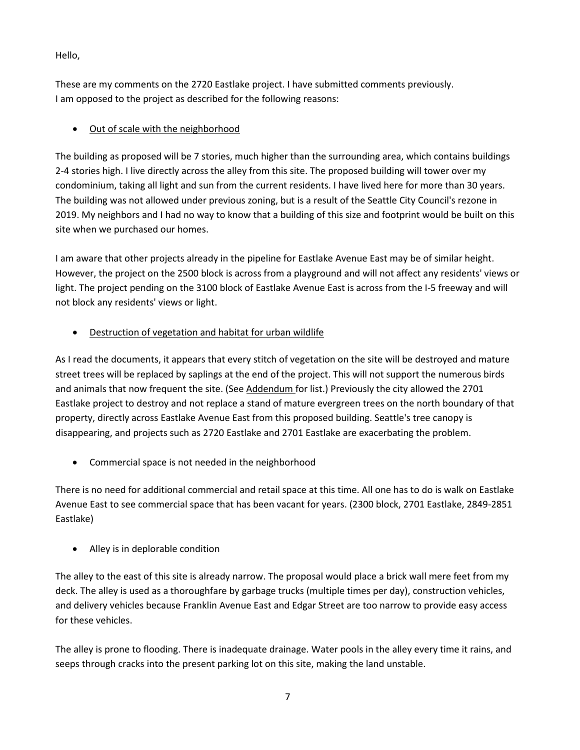Hello,

These are my comments on the 2720 Eastlake project. I have submitted comments previously. I am opposed to the project as described for the following reasons:

# • Out of scale with the neighborhood

The building as proposed will be 7 stories, much higher than the surrounding area, which contains buildings 2-4 stories high. I live directly across the alley from this site. The proposed building will tower over my condominium, taking all light and sun from the current residents. I have lived here for more than 30 years. The building was not allowed under previous zoning, but is a result of the Seattle City Council's rezone in 2019. My neighbors and I had no way to know that a building of this size and footprint would be built on this site when we purchased our homes.

I am aware that other projects already in the pipeline for Eastlake Avenue East may be of similar height. However, the project on the 2500 block is across from a playground and will not affect any residents' views or light. The project pending on the 3100 block of Eastlake Avenue East is across from the I-5 freeway and will not block any residents' views or light.

• Destruction of vegetation and habitat for urban wildlife

As I read the documents, it appears that every stitch of vegetation on the site will be destroyed and mature street trees will be replaced by saplings at the end of the project. This will not support the numerous birds and animals that now frequent the site. (See Addendum for list.) Previously the city allowed the 2701 Eastlake project to destroy and not replace a stand of mature evergreen trees on the north boundary of that property, directly across Eastlake Avenue East from this proposed building. Seattle's tree canopy is disappearing, and projects such as 2720 Eastlake and 2701 Eastlake are exacerbating the problem.

• Commercial space is not needed in the neighborhood

There is no need for additional commercial and retail space at this time. All one has to do is walk on Eastlake Avenue East to see commercial space that has been vacant for years. (2300 block, 2701 Eastlake, 2849-2851 Eastlake)

• Alley is in deplorable condition

The alley to the east of this site is already narrow. The proposal would place a brick wall mere feet from my deck. The alley is used as a thoroughfare by garbage trucks (multiple times per day), construction vehicles, and delivery vehicles because Franklin Avenue East and Edgar Street are too narrow to provide easy access for these vehicles.

The alley is prone to flooding. There is inadequate drainage. Water pools in the alley every time it rains, and seeps through cracks into the present parking lot on this site, making the land unstable.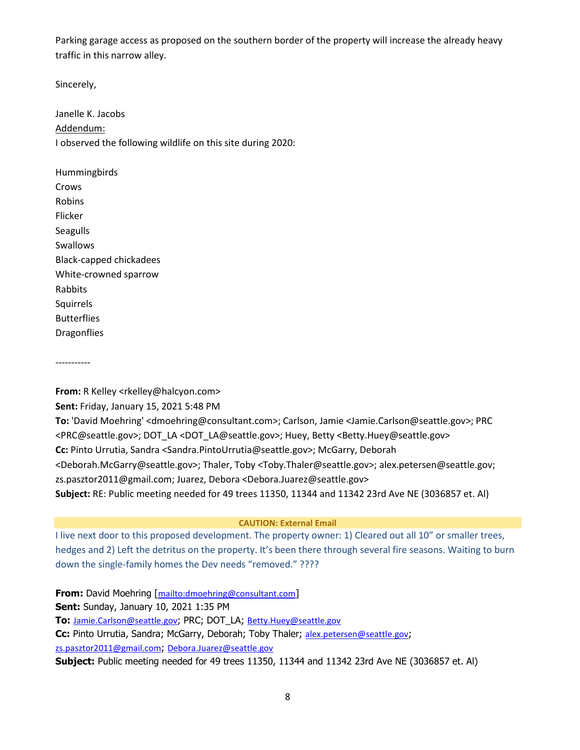Parking garage access as proposed on the southern border of the property will increase the already heavy traffic in this narrow alley.

Sincerely,

Janelle K. Jacobs Addendum: I observed the following wildlife on this site during 2020:

Hummingbirds Crows Robins Flicker Seagulls Swallows Black-capped chickadees White-crowned sparrow Rabbits **Squirrels** Butterflies Dragonflies

-----------

**From:** R Kelley <rkelley@halcyon.com> **Sent:** Friday, January 15, 2021 5:48 PM **To:** 'David Moehring' <dmoehring@consultant.com>; Carlson, Jamie <Jamie.Carlson@seattle.gov>; PRC <PRC@seattle.gov>; DOT\_LA <DOT\_LA@seattle.gov>; Huey, Betty <Betty.Huey@seattle.gov> **Cc:** Pinto Urrutia, Sandra <Sandra.PintoUrrutia@seattle.gov>; McGarry, Deborah <Deborah.McGarry@seattle.gov>; Thaler, Toby <Toby.Thaler@seattle.gov>; alex.petersen@seattle.gov; zs.pasztor2011@gmail.com; Juarez, Debora <Debora.Juarez@seattle.gov> **Subject:** RE: Public meeting needed for 49 trees 11350, 11344 and 11342 23rd Ave NE (3036857 et. Al)

#### **CAUTION: External Email**

I live next door to this proposed development. The property owner: 1) Cleared out all 10" or smaller trees, hedges and 2) Left the detritus on the property. It's been there through several fire seasons. Waiting to burn down the single-family homes the Dev needs "removed." ????

**From:** David Moehring [<mailto:dmoehring@consultant.com>] **Sent:** Sunday, January 10, 2021 1:35 PM **To:** [Jamie.Carlson@seattle.gov](mailto:Jamie.Carlson@seattle.gov); PRC; DOT\_LA; [Betty.Huey@seattle.gov](mailto:Betty.Huey@seattle.gov) **Cc:** Pinto Urrutia, Sandra; McGarry, Deborah; Toby Thaler; [alex.petersen@seattle.gov](mailto:alex.petersen@seattle.gov); [zs.pasztor2011@gmail.com](mailto:zs.pasztor2011@gmail.com); [Debora.Juarez@seattle.gov](mailto:Debora.Juarez@seattle.gov) **Subject:** Public meeting needed for 49 trees 11350, 11344 and 11342 23rd Ave NE (3036857 et. Al)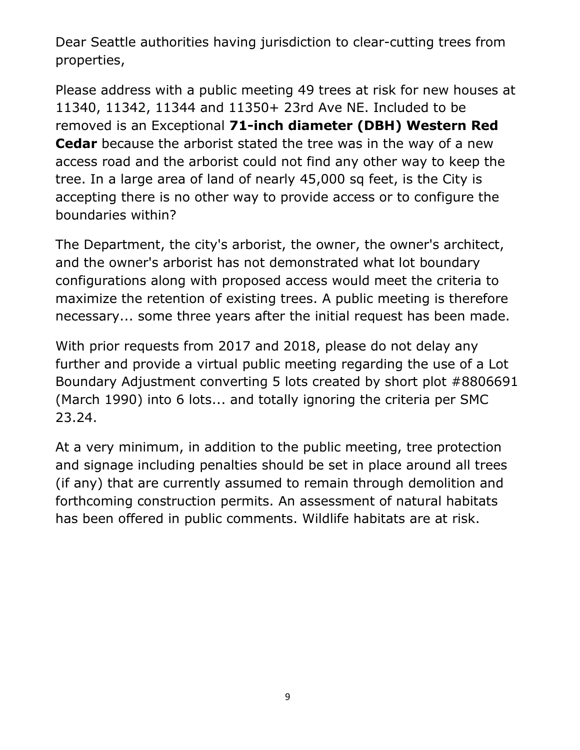Dear Seattle authorities having jurisdiction to clear-cutting trees from properties,

Please address with a public meeting 49 trees at risk for new houses at 11340, 11342, 11344 and 11350+ 23rd Ave NE. Included to be removed is an Exceptional **71-inch diameter (DBH) Western Red Cedar** because the arborist stated the tree was in the way of a new access road and the arborist could not find any other way to keep the tree. In a large area of land of nearly 45,000 sq feet, is the City is accepting there is no other way to provide access or to configure the boundaries within?

The Department, the city's arborist, the owner, the owner's architect, and the owner's arborist has not demonstrated what lot boundary configurations along with proposed access would meet the criteria to maximize the retention of existing trees. A public meeting is therefore necessary... some three years after the initial request has been made.

With prior requests from 2017 and 2018, please do not delay any further and provide a virtual public meeting regarding the use of a Lot Boundary Adjustment converting 5 lots created by short plot #8806691 (March 1990) into 6 lots... and totally ignoring the criteria per SMC 23.24.

At a very minimum, in addition to the public meeting, tree protection and signage including penalties should be set in place around all trees (if any) that are currently assumed to remain through demolition and forthcoming construction permits. An assessment of natural habitats has been offered in public comments. Wildlife habitats are at risk.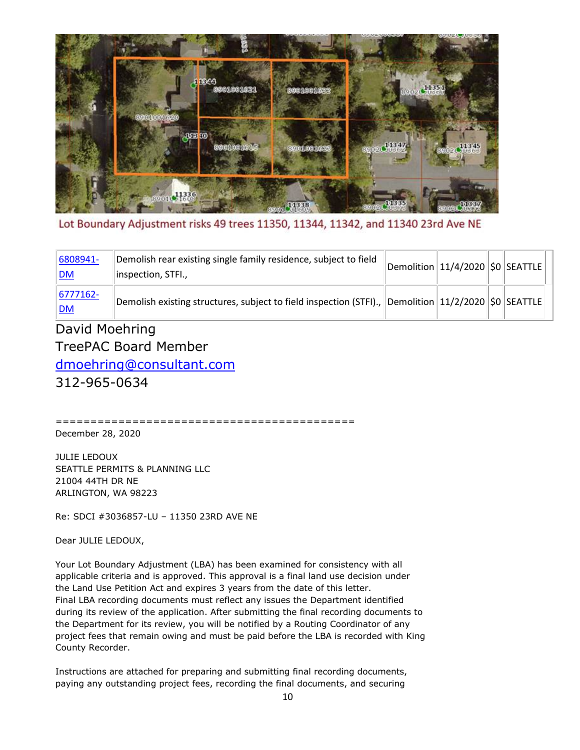

Lot Boundary Adjustment risks 49 trees 11350, 11344, 11342, and 11340 23rd Ave NE

| 6808941-<br><u> DM</u>     | Demolish rear existing single family residence, subject to field<br>inspection, STFI.,                | $\ $ Demolition $\ 11/4/2020\ \text{SO}\ $ SEATTLE $\ $ |  |  |
|----------------------------|-------------------------------------------------------------------------------------------------------|---------------------------------------------------------|--|--|
| $ 6777162 -$<br><u> DM</u> | Demolish existing structures, subject to field inspection (STFI)., Demolition $11/2/2020$ \$0 SEATTLE |                                                         |  |  |

# David Moehring TreePAC Board Member

[dmoehring@consultant.com](mailto:dmoehring@consultant.com)

312-965-0634

=========================================== December 28, 2020

JULIE LEDOUX SEATTLE PERMITS & PLANNING LLC 21004 44TH DR NE ARLINGTON, WA 98223

Re: SDCI #3036857-LU – 11350 23RD AVE NE

Dear JULIE LEDOUX,

Your Lot Boundary Adjustment (LBA) has been examined for consistency with all applicable criteria and is approved. This approval is a final land use decision under the Land Use Petition Act and expires 3 years from the date of this letter. Final LBA recording documents must reflect any issues the Department identified during its review of the application. After submitting the final recording documents to the Department for its review, you will be notified by a Routing Coordinator of any project fees that remain owing and must be paid before the LBA is recorded with King County Recorder.

Instructions are attached for preparing and submitting final recording documents, paying any outstanding project fees, recording the final documents, and securing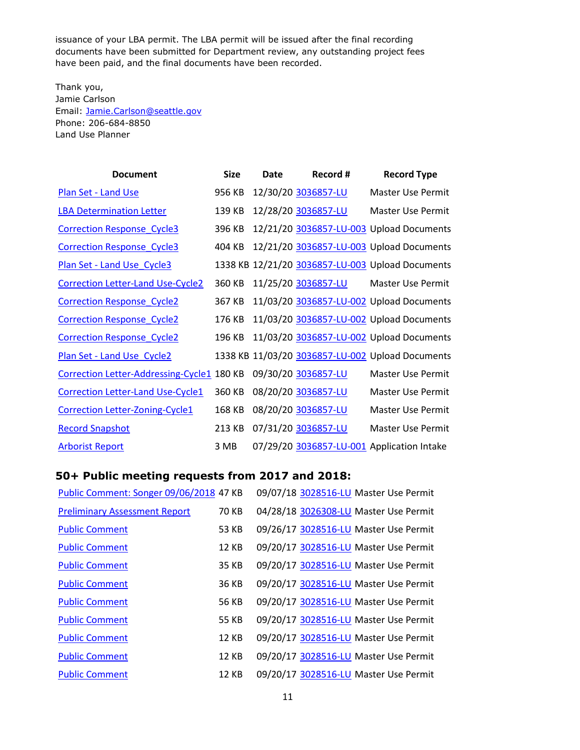issuance of your LBA permit. The LBA permit will be issued after the final recording documents have been submitted for Department review, any outstanding project fees have been paid, and the final documents have been recorded.

Thank you, Jamie Carlson Email: [Jamie.Carlson@seattle.gov](mailto:Jamie.Carlson@seattle.gov) Phone: 206-684-8850 Land Use Planner

| <b>Document</b>                            | <b>Size</b> | Date | Record #            | <b>Record Type</b>                               |
|--------------------------------------------|-------------|------|---------------------|--------------------------------------------------|
| <b>Plan Set - Land Use</b>                 | 956 KB      |      | 12/30/20 3036857-LU | <b>Master Use Permit</b>                         |
| <b>LBA Determination Letter</b>            | 139 KB      |      | 12/28/20 3036857-LU | Master Use Permit                                |
| <b>Correction Response Cycle3</b>          | 396 KB      |      |                     | 12/21/20 3036857-LU-003 Upload Documents         |
| <b>Correction Response Cycle3</b>          | 404 KB      |      |                     | 12/21/20 3036857-LU-003 Upload Documents         |
| Plan Set - Land Use Cycle3                 |             |      |                     | 1338 KB 12/21/20 3036857-LU-003 Upload Documents |
| <b>Correction Letter-Land Use-Cycle2</b>   | 360 KB      |      | 11/25/20 3036857-LU | Master Use Permit                                |
| <b>Correction Response Cycle2</b>          | 367 KB      |      |                     | 11/03/20 3036857-LU-002 Upload Documents         |
| <b>Correction Response Cycle2</b>          | 176 KB      |      |                     | 11/03/20 3036857-LU-002 Upload Documents         |
| <b>Correction Response Cycle2</b>          | 196 KB      |      |                     | 11/03/20 3036857-LU-002 Upload Documents         |
| Plan Set - Land Use Cycle2                 |             |      |                     | 1338 KB 11/03/20 3036857-LU-002 Upload Documents |
| Correction Letter-Addressing-Cycle1 180 KB |             |      | 09/30/20 3036857-LU | Master Use Permit                                |
| <b>Correction Letter-Land Use-Cycle1</b>   | 360 KB      |      | 08/20/20 3036857-LU | Master Use Permit                                |
| <b>Correction Letter-Zoning-Cycle1</b>     | 168 KB      |      | 08/20/20 3036857-LU | Master Use Permit                                |
| <b>Record Snapshot</b>                     | 213 KB      |      | 07/31/20 3036857-LU | Master Use Permit                                |
| <b>Arborist Report</b>                     | 3 MB        |      |                     | 07/29/20 3036857-LU-001 Application Intake       |

# **50+ Public meeting requests from 2017 and 2018:**

| Public Comment: Songer 09/06/2018 47 KB |              | 09/07/18 3028516-LU Master Use Permit |
|-----------------------------------------|--------------|---------------------------------------|
| <b>Preliminary Assessment Report</b>    | 70 KB        | 04/28/18 3026308-LU Master Use Permit |
| <b>Public Comment</b>                   | 53 KB        | 09/26/17 3028516-LU Master Use Permit |
| <b>Public Comment</b>                   | <b>12 KB</b> | 09/20/17 3028516-LU Master Use Permit |
| <b>Public Comment</b>                   | 35 KB        | 09/20/17 3028516-LU Master Use Permit |
| <b>Public Comment</b>                   | 36 KB        | 09/20/17 3028516-LU Master Use Permit |
| <b>Public Comment</b>                   | 56 KB        | 09/20/17 3028516-LU Master Use Permit |
| <b>Public Comment</b>                   | 55 KB        | 09/20/17 3028516-LU Master Use Permit |
| <b>Public Comment</b>                   | <b>12 KB</b> | 09/20/17 3028516-LU Master Use Permit |
| <b>Public Comment</b>                   | <b>12 KB</b> | 09/20/17 3028516-LU Master Use Permit |
| <b>Public Comment</b>                   | <b>12 KB</b> | 09/20/17 3028516-LU Master Use Permit |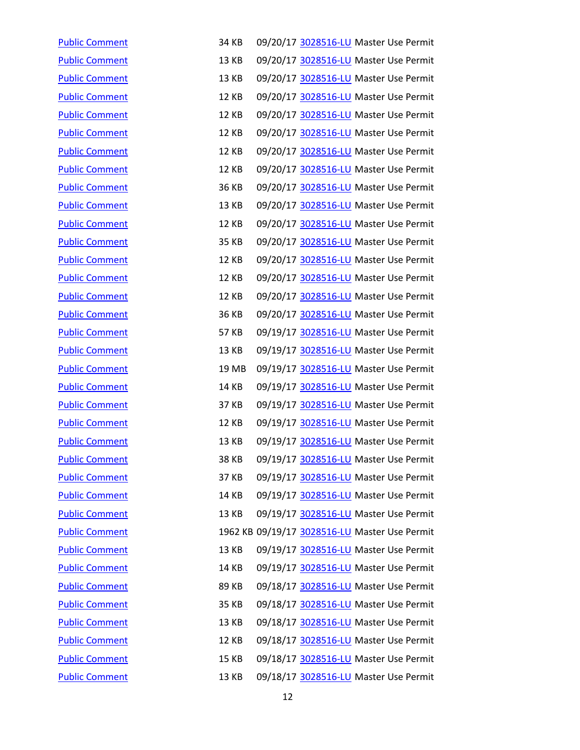| <b>Public Comment</b> | 34 KB        | 09/20/17 3028516-LU Master Use Permit         |
|-----------------------|--------------|-----------------------------------------------|
| <b>Public Comment</b> | <b>13 KB</b> | 09/20/17 3028516-LU Master Use Permit         |
| <b>Public Comment</b> | 13 KB        | 09/20/17 3028516-LU Master Use Permit         |
| <b>Public Comment</b> | <b>12 KB</b> | 09/20/17 3028516-LU Master Use Permit         |
| <b>Public Comment</b> | <b>12 KB</b> | 09/20/17 3028516-LU Master Use Permit         |
| <b>Public Comment</b> | <b>12 KB</b> | 09/20/17 3028516-LU Master Use Permit         |
| <b>Public Comment</b> | <b>12 KB</b> | 09/20/17 3028516-LU Master Use Permit         |
| <b>Public Comment</b> | <b>12 KB</b> | 09/20/17 3028516-LU Master Use Permit         |
| <b>Public Comment</b> | 36 KB        | 09/20/17 3028516-LU Master Use Permit         |
| <b>Public Comment</b> | 13 KB        | 09/20/17 3028516-LU Master Use Permit         |
| <b>Public Comment</b> | <b>12 KB</b> | 09/20/17 3028516-LU Master Use Permit         |
| <b>Public Comment</b> | 35 KB        | 09/20/17 3028516-LU Master Use Permit         |
| <b>Public Comment</b> | <b>12 KB</b> | 09/20/17 3028516-LU Master Use Permit         |
| <b>Public Comment</b> | <b>12 KB</b> | 09/20/17 3028516-LU Master Use Permit         |
| <b>Public Comment</b> | <b>12 KB</b> | 09/20/17 3028516-LU Master Use Permit         |
| <b>Public Comment</b> | 36 KB        | 09/20/17 3028516-LU Master Use Permit         |
| <b>Public Comment</b> | 57 KB        | 09/19/17 3028516-LU Master Use Permit         |
| <b>Public Comment</b> | 13 KB        | 09/19/17 3028516-LU Master Use Permit         |
| <b>Public Comment</b> | 19 MB        | 09/19/17 3028516-LU Master Use Permit         |
| <b>Public Comment</b> | 14 KB        | 09/19/17 3028516-LU Master Use Permit         |
| <b>Public Comment</b> | 37 KB        | 09/19/17 3028516-LU Master Use Permit         |
| <b>Public Comment</b> | <b>12 KB</b> | 09/19/17 3028516-LU Master Use Permit         |
| <b>Public Comment</b> | 13 KB        | 09/19/17 3028516-LU Master Use Permit         |
| <b>Public Comment</b> | <b>38 KB</b> | 09/19/17 3028516-LU Master Use Permit         |
| <b>Public Comment</b> | 37 KB        | 09/19/17 3028516-LU Master Use Permit         |
| <b>Public Comment</b> | 14 KB        | 09/19/17 3028516-LU Master Use Permit         |
| <b>Public Comment</b> | 13 KB        | 09/19/17 3028516-LU Master Use Permit         |
| <b>Public Comment</b> |              | 1962 KB 09/19/17 3028516-LU Master Use Permit |
| <b>Public Comment</b> | 13 KB        | 09/19/17 3028516-LU Master Use Permit         |
| <b>Public Comment</b> | <b>14 KB</b> | 09/19/17 3028516-LU Master Use Permit         |
| <b>Public Comment</b> | 89 KB        | 09/18/17 3028516-LU Master Use Permit         |
| <b>Public Comment</b> | 35 KB        | 09/18/17 3028516-LU Master Use Permit         |
| <b>Public Comment</b> | 13 KB        | 09/18/17 3028516-LU Master Use Permit         |
| <b>Public Comment</b> | <b>12 KB</b> | 09/18/17 3028516-LU Master Use Permit         |
| <b>Public Comment</b> | <b>15 KB</b> | 09/18/17 3028516-LU Master Use Permit         |
| <b>Public Comment</b> | <b>13 KB</b> | 09/18/17 3028516-LU Master Use Permit         |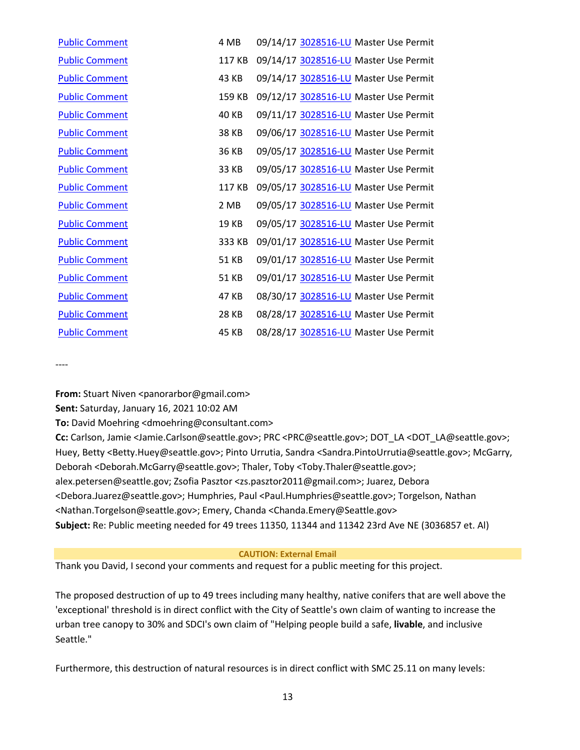| <b>Public Comment</b> | 4 MB   | 09/14/17 3028516-LU Master Use Permit |
|-----------------------|--------|---------------------------------------|
| <b>Public Comment</b> | 117 KB | 09/14/17 3028516-LU Master Use Permit |
| <b>Public Comment</b> | 43 KB  | 09/14/17 3028516-LU Master Use Permit |
| <b>Public Comment</b> | 159 KB | 09/12/17 3028516-LU Master Use Permit |
| <b>Public Comment</b> | 40 KB  | 09/11/17 3028516-LU Master Use Permit |
| <b>Public Comment</b> | 38 KB  | 09/06/17 3028516-LU Master Use Permit |
| <b>Public Comment</b> | 36 KB  | 09/05/17 3028516-LU Master Use Permit |
| <b>Public Comment</b> | 33 KB  | 09/05/17 3028516-LU Master Use Permit |
| <b>Public Comment</b> | 117 KB | 09/05/17 3028516-LU Master Use Permit |
| <b>Public Comment</b> | 2 MB   | 09/05/17 3028516-LU Master Use Permit |
| <b>Public Comment</b> | 19 KB  | 09/05/17 3028516-LU Master Use Permit |
| <b>Public Comment</b> | 333 KB | 09/01/17 3028516-LU Master Use Permit |
| <b>Public Comment</b> | 51 KB  | 09/01/17 3028516-LU Master Use Permit |
| <b>Public Comment</b> | 51 KB  | 09/01/17 3028516-LU Master Use Permit |
| <b>Public Comment</b> | 47 KB  | 08/30/17 3028516-LU Master Use Permit |
| <b>Public Comment</b> | 28 KB  | 08/28/17 3028516-LU Master Use Permit |
| <b>Public Comment</b> | 45 KB  | 08/28/17 3028516-LU Master Use Permit |

----

**From:** Stuart Niven <panorarbor@gmail.com>

**Sent:** Saturday, January 16, 2021 10:02 AM

**To:** David Moehring <dmoehring@consultant.com>

**Cc:** Carlson, Jamie <Jamie.Carlson@seattle.gov>; PRC <PRC@seattle.gov>; DOT\_LA <DOT\_LA@seattle.gov>; Huey, Betty <Betty.Huey@seattle.gov>; Pinto Urrutia, Sandra <Sandra.PintoUrrutia@seattle.gov>; McGarry, Deborah <Deborah.McGarry@seattle.gov>; Thaler, Toby <Toby.Thaler@seattle.gov>; alex.petersen@seattle.gov; Zsofia Pasztor <zs.pasztor2011@gmail.com>; Juarez, Debora <Debora.Juarez@seattle.gov>; Humphries, Paul <Paul.Humphries@seattle.gov>; Torgelson, Nathan <Nathan.Torgelson@seattle.gov>; Emery, Chanda <Chanda.Emery@Seattle.gov> **Subject:** Re: Public meeting needed for 49 trees 11350, 11344 and 11342 23rd Ave NE (3036857 et. Al)

# **CAUTION: External Email**

Thank you David, I second your comments and request for a public meeting for this project.

The proposed destruction of up to 49 trees including many healthy, native conifers that are well above the 'exceptional' threshold is in direct conflict with the City of Seattle's own claim of wanting to increase the urban tree canopy to 30% and SDCI's own claim of "Helping people build a safe, **livable**, and inclusive Seattle."

Furthermore, this destruction of natural resources is in direct conflict with SMC 25.11 on many levels: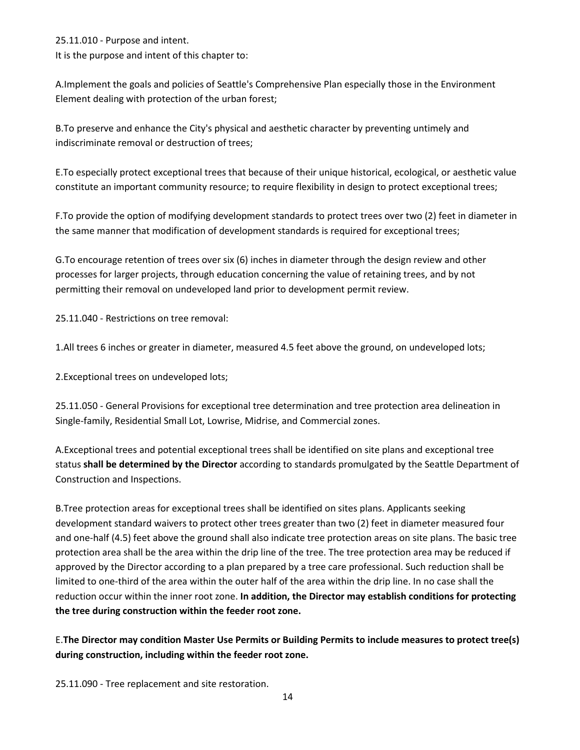25.11.010 - Purpose and intent. It is the purpose and intent of this chapter to:

A.Implement the goals and policies of Seattle's Comprehensive Plan especially those in the Environment Element dealing with protection of the urban forest;

B.To preserve and enhance the City's physical and aesthetic character by preventing untimely and indiscriminate removal or destruction of trees;

E.To especially protect exceptional trees that because of their unique historical, ecological, or aesthetic value constitute an important community resource; to require flexibility in design to protect exceptional trees;

F.To provide the option of modifying development standards to protect trees over two (2) feet in diameter in the same manner that modification of development standards is required for exceptional trees;

G.To encourage retention of trees over six (6) inches in diameter through the design review and other processes for larger projects, through education concerning the value of retaining trees, and by not permitting their removal on undeveloped land prior to development permit review.

25.11.040 - Restrictions on tree removal:

1.All trees 6 inches or greater in diameter, measured 4.5 feet above the ground, on undeveloped lots;

2.Exceptional trees on undeveloped lots;

25.11.050 - General Provisions for exceptional tree determination and tree protection area delineation in Single-family, Residential Small Lot, Lowrise, Midrise, and Commercial zones.

A.Exceptional trees and potential exceptional trees shall be identified on site plans and exceptional tree status **shall be determined by the Director** according to standards promulgated by the Seattle Department of Construction and Inspections.

B.Tree protection areas for exceptional trees shall be identified on sites plans. Applicants seeking development standard waivers to protect other trees greater than two (2) feet in diameter measured four and one-half (4.5) feet above the ground shall also indicate tree protection areas on site plans. The basic tree protection area shall be the area within the drip line of the tree. The tree protection area may be reduced if approved by the Director according to a plan prepared by a tree care professional. Such reduction shall be limited to one-third of the area within the outer half of the area within the drip line. In no case shall the reduction occur within the inner root zone. **In addition, the Director may establish conditions for protecting the tree during construction within the feeder root zone.**

E.**The Director may condition Master Use Permits or Building Permits to include measures to protect tree(s) during construction, including within the feeder root zone.**

25.11.090 - Tree replacement and site restoration.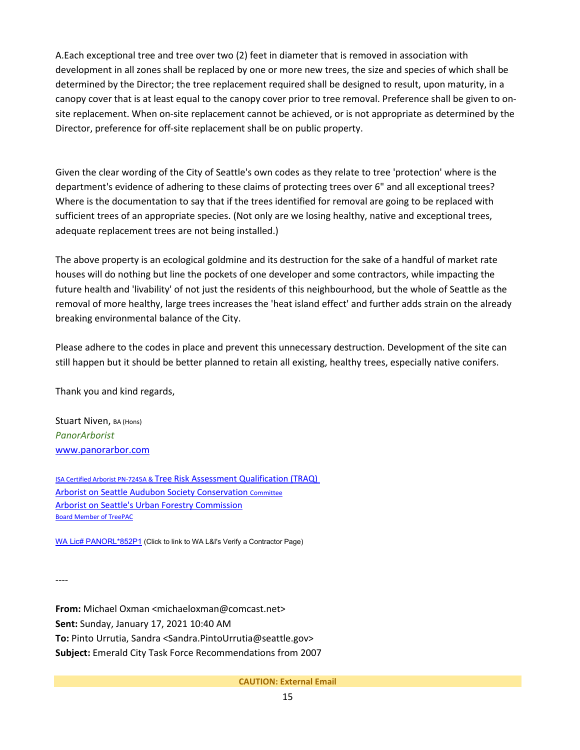A.Each exceptional tree and tree over two (2) feet in diameter that is removed in association with development in all zones shall be replaced by one or more new trees, the size and species of which shall be determined by the Director; the tree replacement required shall be designed to result, upon maturity, in a canopy cover that is at least equal to the canopy cover prior to tree removal. Preference shall be given to onsite replacement. When on-site replacement cannot be achieved, or is not appropriate as determined by the Director, preference for off-site replacement shall be on public property.

Given the clear wording of the City of Seattle's own codes as they relate to tree 'protection' where is the department's evidence of adhering to these claims of protecting trees over 6" and all exceptional trees? Where is the documentation to say that if the trees identified for removal are going to be replaced with sufficient trees of an appropriate species. (Not only are we losing healthy, native and exceptional trees, adequate replacement trees are not being installed.)

The above property is an ecological goldmine and its destruction for the sake of a handful of market rate houses will do nothing but line the pockets of one developer and some contractors, while impacting the future health and 'livability' of not just the residents of this neighbourhood, but the whole of Seattle as the removal of more healthy, large trees increases the 'heat island effect' and further adds strain on the already breaking environmental balance of the City.

Please adhere to the codes in place and prevent this unnecessary destruction. Development of the site can still happen but it should be better planned to retain all existing, healthy trees, especially native conifers.

Thank you and kind regards,

Stuart Niven, BA (Hons) *PanorArborist* [www.panorarbor.com](https://protect2.fireeye.com/v1/url?k=772ef133-28b5c801-772ed983-8697e44c76c2-35555956c27738ba&q=1&e=b1b1e0ea-0351-4c1c-b10b-12de0b8b3fad&u=http%3A%2F%2Fwww.panorarbor.com%2F)

ISA Certified Arborist PN-7245A & [Tree Risk Assessment Qualification \(TRAQ\)](https://protect2.fireeye.com/v1/url?k=cd9a1822-92012110-cd9a3092-8697e44c76c2-e63ff10426406792&q=1&e=b1b1e0ea-0351-4c1c-b10b-12de0b8b3fad&u=https%3A%2F%2Fwww.treesaregood.org%2Ffindanarborist%2Fverify) [Arborist on Seattle Audubon Society Conservation](https://protect2.fireeye.com/v1/url?k=b01bab64-ef809256-b01b83d4-8697e44c76c2-94ab2e3958183339&q=1&e=b1b1e0ea-0351-4c1c-b10b-12de0b8b3fad&u=http%3A%2F%2Fwww.seattleaudubon.org%2Fsas%2FAbout%2FConservation%2FArchive%2FAboutOurProgram%2FConservationCommittee.aspx) [Committee](https://protect2.fireeye.com/v1/url?k=b01bab64-ef809256-b01b83d4-8697e44c76c2-94ab2e3958183339&q=1&e=b1b1e0ea-0351-4c1c-b10b-12de0b8b3fad&u=http%3A%2F%2Fwww.seattleaudubon.org%2Fsas%2FAbout%2FConservation%2FArchive%2FAboutOurProgram%2FConservationCommittee.aspx) [Arborist on Seattle's Urban Forestry](https://protect2.fireeye.com/v1/url?k=9121c4db-cebafde9-9121ec6b-8697e44c76c2-71a080cf2bf58f6f&q=1&e=b1b1e0ea-0351-4c1c-b10b-12de0b8b3fad&u=https%3A%2F%2Fwww.seattle.gov%2Furbanforestrycommission) Commission [Board](https://protect2.fireeye.com/v1/url?k=e33f6683-bca45fb1-e33f4e33-8697e44c76c2-e493affa33adc387&q=1&e=b1b1e0ea-0351-4c1c-b10b-12de0b8b3fad&u=https%3A%2F%2Ftreepac.org%2F) [Member of TreePAC](https://protect2.fireeye.com/v1/url?k=ef460e13-b0dd3721-ef4626a3-8697e44c76c2-9794d200eb0e3919&q=1&e=b1b1e0ea-0351-4c1c-b10b-12de0b8b3fad&u=https%3A%2F%2Ftreepac.org%2F)

[WA Lic# PANORL\\*852P1](https://protect2.fireeye.com/v1/url?k=3d7fed2d-62e4d41f-3d7fc59d-8697e44c76c2-05e20c4c0aa5f0b0&q=1&e=b1b1e0ea-0351-4c1c-b10b-12de0b8b3fad&u=https%3A%2F%2Fsecure.lni.wa.gov%2Fverify%2FResults.aspx%23%257B%2522firstSearch%2522%253A1%252C%2522searchCat%2522%253A%2522Name%2522%252C%2522searchText%2522%253A%2522panorarbor%2522%252C%2522Name%2522%253A%2522panorarbor%2522%252C%2522pageNumber%2522%253A0%252C%2522SearchType%2522%253A2%252C%2522SortColumn%2522%253A%2522Rank%2522%252C%2522SortOrder%2522%253A%2522desc%2522%252C%2522pageSize%2522%253A10%252C%2522ContractorTypeFilter%2522%253A%255B%255D%252C%2522SessionID%2522%253A%252240n4ujjyzdeziggwv4rntrqp%2522%252C%2522SAW%2522%253A%2522%2522%257D) (Click to link to WA L&I's Verify a Contractor Page)

----

**From:** Michael Oxman <michaeloxman@comcast.net> **Sent:** Sunday, January 17, 2021 10:40 AM **To:** Pinto Urrutia, Sandra <Sandra.PintoUrrutia@seattle.gov> **Subject:** Emerald City Task Force Recommendations from 2007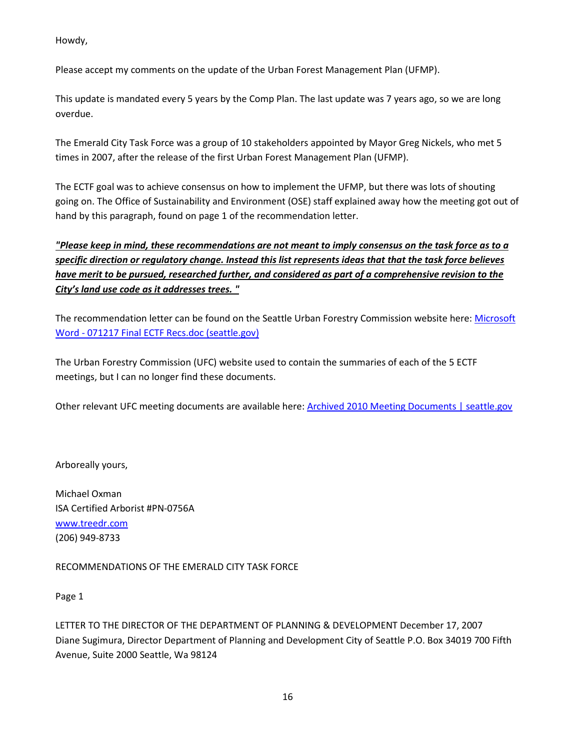Howdy,

Please accept my comments on the update of the Urban Forest Management Plan (UFMP).

This update is mandated every 5 years by the Comp Plan. The last update was 7 years ago, so we are long overdue.

The Emerald City Task Force was a group of 10 stakeholders appointed by Mayor Greg Nickels, who met 5 times in 2007, after the release of the first Urban Forest Management Plan (UFMP).

The ECTF goal was to achieve consensus on how to implement the UFMP, but there was lots of shouting going on. The Office of Sustainability and Environment (OSE) staff explained away how the meeting got out of hand by this paragraph, found on page 1 of the recommendation letter.

*"Please keep in mind, these recommendations are not meant to imply consensus on the task force as to a specific direction or regulatory change. Instead this list represents ideas that that the task force believes have merit to be pursued, researched further, and considered as part of a comprehensive revision to the City's land use code as it addresses trees. "*

The recommendation letter can be found on the Seattle Urban Forestry Commission website here: Microsoft Word - [071217 Final ECTF Recs.doc \(seattle.gov\)](http://www.seattle.gov/Documents/Departments/UrbanForestryCommission/2010/2010docs/Final_ECTFRecom121707.pdf)

The Urban Forestry Commission (UFC) website used to contain the summaries of each of the 5 ECTF meetings, but I can no longer find these documents.

Other relevant UFC meeting documents are available here: **Archived 2010 Meeting Documents** | seattle.gov

Arboreally yours,

Michael Oxman ISA Certified Arborist #PN-0756A [www.treedr.com](https://protect2.fireeye.com/v1/url?k=6f090a7e-3092336c-6f0922ce-86b2e136ff17-2c1ac299a4d4351b&q=1&e=63226968-d4e8-40e1-be9d-9e23591ea458&u=http%3A%2F%2Fwww.treedr.com%2F) (206) 949-8733

RECOMMENDATIONS OF THE EMERALD CITY TASK FORCE

Page 1

LETTER TO THE DIRECTOR OF THE DEPARTMENT OF PLANNING & DEVELOPMENT December 17, 2007 Diane Sugimura, Director Department of Planning and Development City of Seattle P.O. Box 34019 700 Fifth Avenue, Suite 2000 Seattle, Wa 98124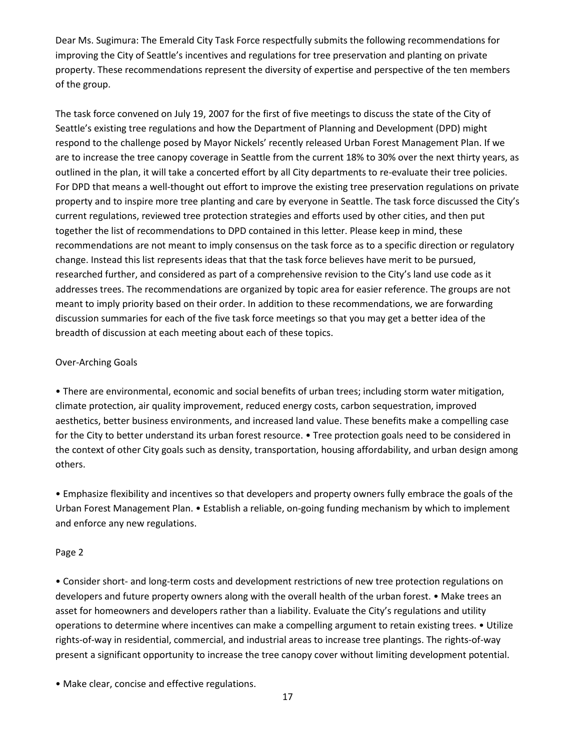Dear Ms. Sugimura: The Emerald City Task Force respectfully submits the following recommendations for improving the City of Seattle's incentives and regulations for tree preservation and planting on private property. These recommendations represent the diversity of expertise and perspective of the ten members of the group.

The task force convened on July 19, 2007 for the first of five meetings to discuss the state of the City of Seattle's existing tree regulations and how the Department of Planning and Development (DPD) might respond to the challenge posed by Mayor Nickels' recently released Urban Forest Management Plan. If we are to increase the tree canopy coverage in Seattle from the current 18% to 30% over the next thirty years, as outlined in the plan, it will take a concerted effort by all City departments to re-evaluate their tree policies. For DPD that means a well-thought out effort to improve the existing tree preservation regulations on private property and to inspire more tree planting and care by everyone in Seattle. The task force discussed the City's current regulations, reviewed tree protection strategies and efforts used by other cities, and then put together the list of recommendations to DPD contained in this letter. Please keep in mind, these recommendations are not meant to imply consensus on the task force as to a specific direction or regulatory change. Instead this list represents ideas that that the task force believes have merit to be pursued, researched further, and considered as part of a comprehensive revision to the City's land use code as it addresses trees. The recommendations are organized by topic area for easier reference. The groups are not meant to imply priority based on their order. In addition to these recommendations, we are forwarding discussion summaries for each of the five task force meetings so that you may get a better idea of the breadth of discussion at each meeting about each of these topics.

# Over-Arching Goals

• There are environmental, economic and social benefits of urban trees; including storm water mitigation, climate protection, air quality improvement, reduced energy costs, carbon sequestration, improved aesthetics, better business environments, and increased land value. These benefits make a compelling case for the City to better understand its urban forest resource. • Tree protection goals need to be considered in the context of other City goals such as density, transportation, housing affordability, and urban design among others.

• Emphasize flexibility and incentives so that developers and property owners fully embrace the goals of the Urban Forest Management Plan. • Establish a reliable, on-going funding mechanism by which to implement and enforce any new regulations.

# Page 2

• Consider short- and long-term costs and development restrictions of new tree protection regulations on developers and future property owners along with the overall health of the urban forest. • Make trees an asset for homeowners and developers rather than a liability. Evaluate the City's regulations and utility operations to determine where incentives can make a compelling argument to retain existing trees. • Utilize rights-of-way in residential, commercial, and industrial areas to increase tree plantings. The rights-of-way present a significant opportunity to increase the tree canopy cover without limiting development potential.

• Make clear, concise and effective regulations.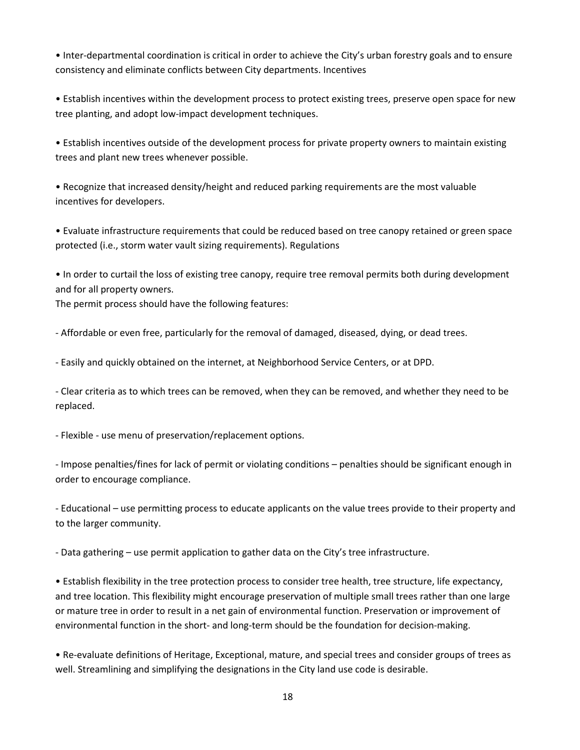• Inter-departmental coordination is critical in order to achieve the City's urban forestry goals and to ensure consistency and eliminate conflicts between City departments. Incentives

• Establish incentives within the development process to protect existing trees, preserve open space for new tree planting, and adopt low-impact development techniques.

• Establish incentives outside of the development process for private property owners to maintain existing trees and plant new trees whenever possible.

• Recognize that increased density/height and reduced parking requirements are the most valuable incentives for developers.

• Evaluate infrastructure requirements that could be reduced based on tree canopy retained or green space protected (i.e., storm water vault sizing requirements). Regulations

• In order to curtail the loss of existing tree canopy, require tree removal permits both during development and for all property owners.

The permit process should have the following features:

- Affordable or even free, particularly for the removal of damaged, diseased, dying, or dead trees.

- Easily and quickly obtained on the internet, at Neighborhood Service Centers, or at DPD.

- Clear criteria as to which trees can be removed, when they can be removed, and whether they need to be replaced.

- Flexible - use menu of preservation/replacement options.

- Impose penalties/fines for lack of permit or violating conditions – penalties should be significant enough in order to encourage compliance.

- Educational – use permitting process to educate applicants on the value trees provide to their property and to the larger community.

- Data gathering – use permit application to gather data on the City's tree infrastructure.

• Establish flexibility in the tree protection process to consider tree health, tree structure, life expectancy, and tree location. This flexibility might encourage preservation of multiple small trees rather than one large or mature tree in order to result in a net gain of environmental function. Preservation or improvement of environmental function in the short- and long-term should be the foundation for decision-making.

• Re-evaluate definitions of Heritage, Exceptional, mature, and special trees and consider groups of trees as well. Streamlining and simplifying the designations in the City land use code is desirable.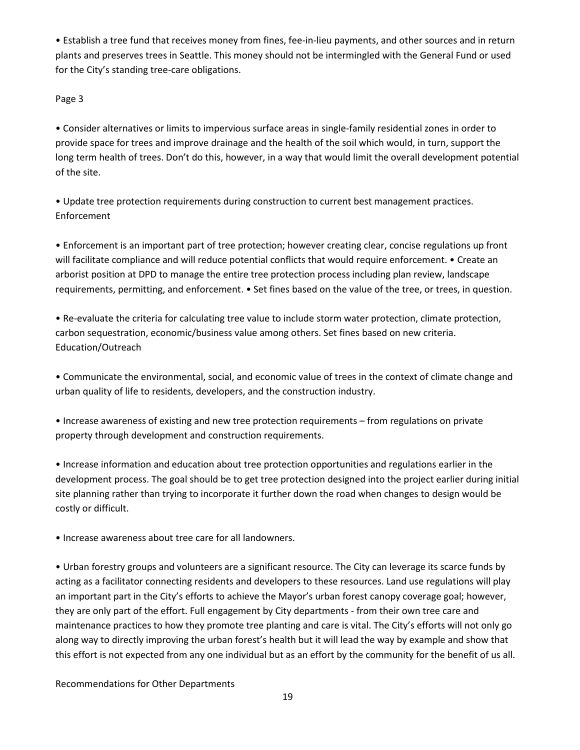• Establish a tree fund that receives money from fines, fee-in-lieu payments, and other sources and in return plants and preserves trees in Seattle. This money should not be intermingled with the General Fund or used for the City's standing tree-care obligations.

Page 3

• Consider alternatives or limits to impervious surface areas in single-family residential zones in order to provide space for trees and improve drainage and the health of the soil which would, in turn, support the long term health of trees. Don't do this, however, in a way that would limit the overall development potential of the site.

• Update tree protection requirements during construction to current best management practices. Enforcement

• Enforcement is an important part of tree protection; however creating clear, concise regulations up front will facilitate compliance and will reduce potential conflicts that would require enforcement. • Create an arborist position at DPD to manage the entire tree protection process including plan review, landscape requirements, permitting, and enforcement. • Set fines based on the value of the tree, or trees, in question.

• Re-evaluate the criteria for calculating tree value to include storm water protection, climate protection, carbon sequestration, economic/business value among others. Set fines based on new criteria. Education/Outreach

• Communicate the environmental, social, and economic value of trees in the context of climate change and urban quality of life to residents, developers, and the construction industry.

• Increase awareness of existing and new tree protection requirements – from regulations on private property through development and construction requirements.

• Increase information and education about tree protection opportunities and regulations earlier in the development process. The goal should be to get tree protection designed into the project earlier during initial site planning rather than trying to incorporate it further down the road when changes to design would be costly or difficult.

• Increase awareness about tree care for all landowners.

• Urban forestry groups and volunteers are a significant resource. The City can leverage its scarce funds by acting as a facilitator connecting residents and developers to these resources. Land use regulations will play an important part in the City's efforts to achieve the Mayor's urban forest canopy coverage goal; however, they are only part of the effort. Full engagement by City departments - from their own tree care and maintenance practices to how they promote tree planting and care is vital. The City's efforts will not only go along way to directly improving the urban forest's health but it will lead the way by example and show that this effort is not expected from any one individual but as an effort by the community for the benefit of us all.

Recommendations for Other Departments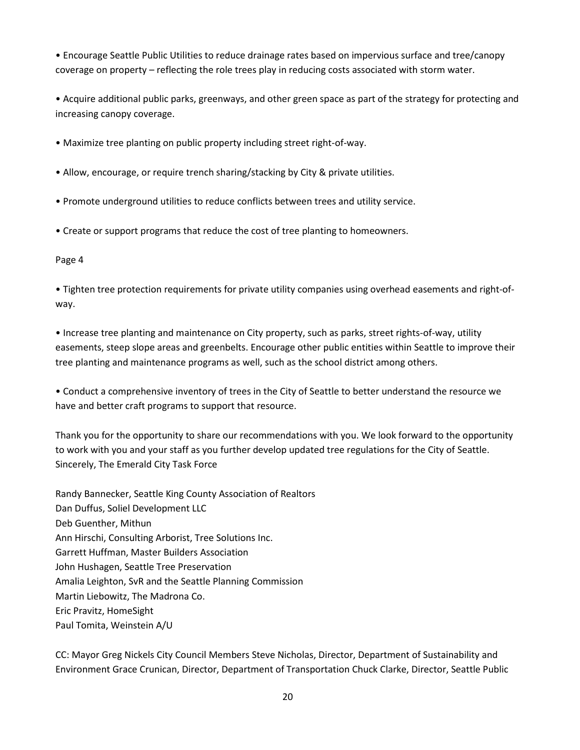• Encourage Seattle Public Utilities to reduce drainage rates based on impervious surface and tree/canopy coverage on property – reflecting the role trees play in reducing costs associated with storm water.

• Acquire additional public parks, greenways, and other green space as part of the strategy for protecting and increasing canopy coverage.

- Maximize tree planting on public property including street right-of-way.
- Allow, encourage, or require trench sharing/stacking by City & private utilities.
- Promote underground utilities to reduce conflicts between trees and utility service.
- Create or support programs that reduce the cost of tree planting to homeowners.

## Page 4

• Tighten tree protection requirements for private utility companies using overhead easements and right-ofway.

• Increase tree planting and maintenance on City property, such as parks, street rights-of-way, utility easements, steep slope areas and greenbelts. Encourage other public entities within Seattle to improve their tree planting and maintenance programs as well, such as the school district among others.

• Conduct a comprehensive inventory of trees in the City of Seattle to better understand the resource we have and better craft programs to support that resource.

Thank you for the opportunity to share our recommendations with you. We look forward to the opportunity to work with you and your staff as you further develop updated tree regulations for the City of Seattle. Sincerely, The Emerald City Task Force

Randy Bannecker, Seattle King County Association of Realtors Dan Duffus, Soliel Development LLC Deb Guenther, Mithun Ann Hirschi, Consulting Arborist, Tree Solutions Inc. Garrett Huffman, Master Builders Association John Hushagen, Seattle Tree Preservation Amalia Leighton, SvR and the Seattle Planning Commission Martin Liebowitz, The Madrona Co. Eric Pravitz, HomeSight Paul Tomita, Weinstein A/U

CC: Mayor Greg Nickels City Council Members Steve Nicholas, Director, Department of Sustainability and Environment Grace Crunican, Director, Department of Transportation Chuck Clarke, Director, Seattle Public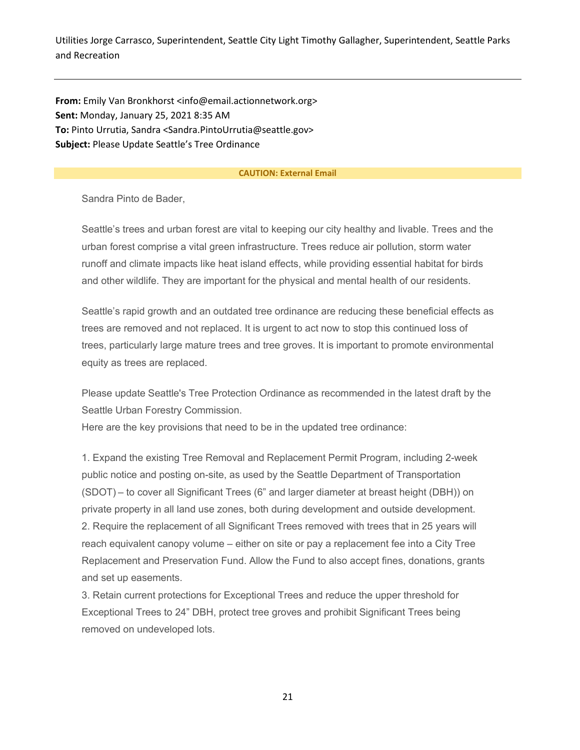Utilities Jorge Carrasco, Superintendent, Seattle City Light Timothy Gallagher, Superintendent, Seattle Parks and Recreation

**From:** Emily Van Bronkhorst <info@email.actionnetwork.org> **Sent:** Monday, January 25, 2021 8:35 AM **To:** Pinto Urrutia, Sandra <Sandra.PintoUrrutia@seattle.gov> **Subject:** Please Update Seattle's Tree Ordinance

#### **CAUTION: External Email**

Sandra Pinto de Bader,

Seattle's trees and urban forest are vital to keeping our city healthy and livable. Trees and the urban forest comprise a vital green infrastructure. Trees reduce air pollution, storm water runoff and climate impacts like heat island effects, while providing essential habitat for birds and other wildlife. They are important for the physical and mental health of our residents.

Seattle's rapid growth and an outdated tree ordinance are reducing these beneficial effects as trees are removed and not replaced. It is urgent to act now to stop this continued loss of trees, particularly large mature trees and tree groves. It is important to promote environmental equity as trees are replaced.

Please update Seattle's Tree Protection Ordinance as recommended in the latest draft by the Seattle Urban Forestry Commission.

Here are the key provisions that need to be in the updated tree ordinance:

1. Expand the existing Tree Removal and Replacement Permit Program, including 2-week public notice and posting on-site, as used by the Seattle Department of Transportation (SDOT) – to cover all Significant Trees (6" and larger diameter at breast height (DBH)) on private property in all land use zones, both during development and outside development. 2. Require the replacement of all Significant Trees removed with trees that in 25 years will reach equivalent canopy volume – either on site or pay a replacement fee into a City Tree Replacement and Preservation Fund. Allow the Fund to also accept fines, donations, grants and set up easements.

3. Retain current protections for Exceptional Trees and reduce the upper threshold for Exceptional Trees to 24" DBH, protect tree groves and prohibit Significant Trees being removed on undeveloped lots.

21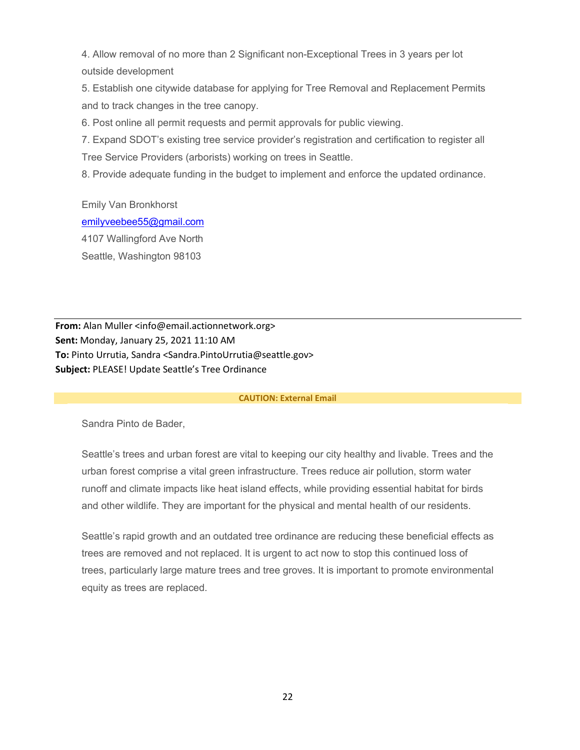4. Allow removal of no more than 2 Significant non-Exceptional Trees in 3 years per lot outside development

5. Establish one citywide database for applying for Tree Removal and Replacement Permits and to track changes in the tree canopy.

6. Post online all permit requests and permit approvals for public viewing.

7. Expand SDOT's existing tree service provider's registration and certification to register all Tree Service Providers (arborists) working on trees in Seattle.

8. Provide adequate funding in the budget to implement and enforce the updated ordinance.

Emily Van Bronkhorst [emilyveebee55@gmail.com](mailto:emilyveebee55@gmail.com) 4107 Wallingford Ave North Seattle, Washington 98103

**From:** Alan Muller <info@email.actionnetwork.org> **Sent:** Monday, January 25, 2021 11:10 AM **To:** Pinto Urrutia, Sandra <Sandra.PintoUrrutia@seattle.gov> **Subject:** PLEASE! Update Seattle's Tree Ordinance

#### **CAUTION: External Email**

Sandra Pinto de Bader,

Seattle's trees and urban forest are vital to keeping our city healthy and livable. Trees and the urban forest comprise a vital green infrastructure. Trees reduce air pollution, storm water runoff and climate impacts like heat island effects, while providing essential habitat for birds and other wildlife. They are important for the physical and mental health of our residents.

Seattle's rapid growth and an outdated tree ordinance are reducing these beneficial effects as trees are removed and not replaced. It is urgent to act now to stop this continued loss of trees, particularly large mature trees and tree groves. It is important to promote environmental equity as trees are replaced.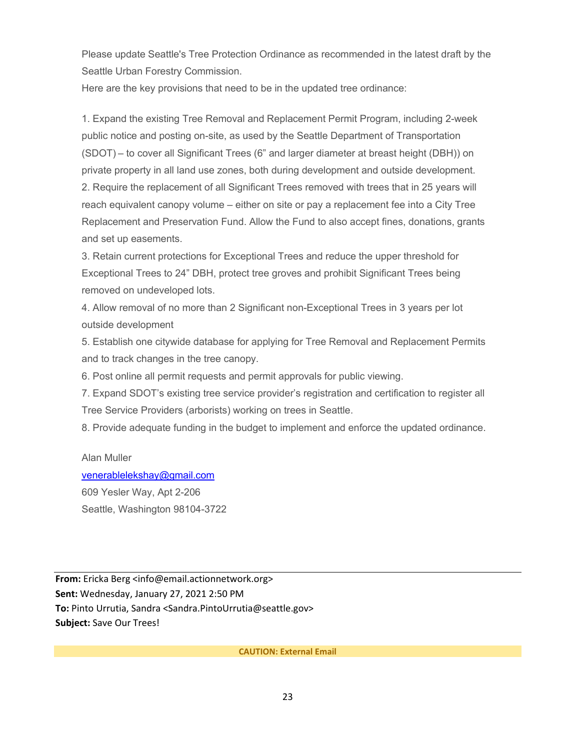Please update Seattle's Tree Protection Ordinance as recommended in the latest draft by the Seattle Urban Forestry Commission.

Here are the key provisions that need to be in the updated tree ordinance:

1. Expand the existing Tree Removal and Replacement Permit Program, including 2-week public notice and posting on-site, as used by the Seattle Department of Transportation (SDOT) – to cover all Significant Trees (6" and larger diameter at breast height (DBH)) on private property in all land use zones, both during development and outside development. 2. Require the replacement of all Significant Trees removed with trees that in 25 years will reach equivalent canopy volume – either on site or pay a replacement fee into a City Tree Replacement and Preservation Fund. Allow the Fund to also accept fines, donations, grants and set up easements.

3. Retain current protections for Exceptional Trees and reduce the upper threshold for Exceptional Trees to 24" DBH, protect tree groves and prohibit Significant Trees being removed on undeveloped lots.

4. Allow removal of no more than 2 Significant non-Exceptional Trees in 3 years per lot outside development

5. Establish one citywide database for applying for Tree Removal and Replacement Permits and to track changes in the tree canopy.

6. Post online all permit requests and permit approvals for public viewing.

7. Expand SDOT's existing tree service provider's registration and certification to register all Tree Service Providers (arborists) working on trees in Seattle.

8. Provide adequate funding in the budget to implement and enforce the updated ordinance.

Alan Muller [venerablelekshay@gmail.com](mailto:venerablelekshay@gmail.com) 609 Yesler Way, Apt 2-206 Seattle, Washington 98104-3722

**From:** Ericka Berg <info@email.actionnetwork.org> **Sent:** Wednesday, January 27, 2021 2:50 PM **To:** Pinto Urrutia, Sandra <Sandra.PintoUrrutia@seattle.gov> **Subject:** Save Our Trees!

**CAUTION: External Email**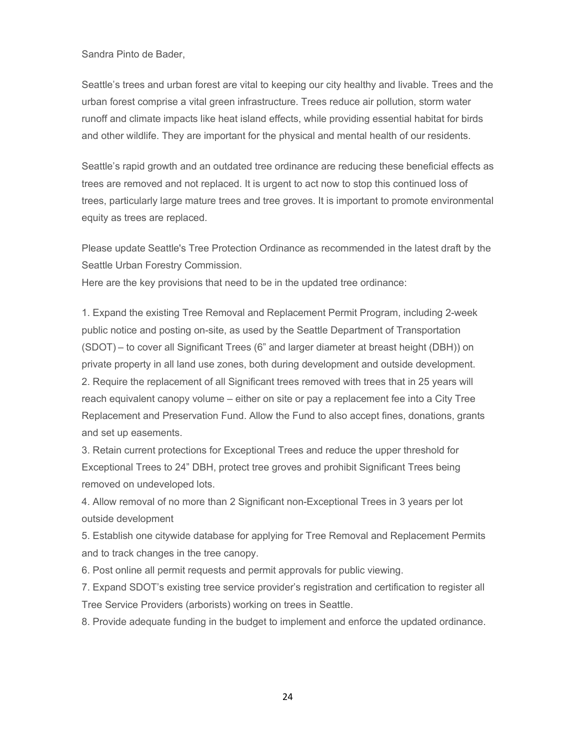Sandra Pinto de Bader,

Seattle's trees and urban forest are vital to keeping our city healthy and livable. Trees and the urban forest comprise a vital green infrastructure. Trees reduce air pollution, storm water runoff and climate impacts like heat island effects, while providing essential habitat for birds and other wildlife. They are important for the physical and mental health of our residents.

Seattle's rapid growth and an outdated tree ordinance are reducing these beneficial effects as trees are removed and not replaced. It is urgent to act now to stop this continued loss of trees, particularly large mature trees and tree groves. It is important to promote environmental equity as trees are replaced.

Please update Seattle's Tree Protection Ordinance as recommended in the latest draft by the Seattle Urban Forestry Commission.

Here are the key provisions that need to be in the updated tree ordinance:

1. Expand the existing Tree Removal and Replacement Permit Program, including 2-week public notice and posting on-site, as used by the Seattle Department of Transportation (SDOT) – to cover all Significant Trees (6" and larger diameter at breast height (DBH)) on private property in all land use zones, both during development and outside development. 2. Require the replacement of all Significant trees removed with trees that in 25 years will reach equivalent canopy volume – either on site or pay a replacement fee into a City Tree Replacement and Preservation Fund. Allow the Fund to also accept fines, donations, grants and set up easements.

3. Retain current protections for Exceptional Trees and reduce the upper threshold for Exceptional Trees to 24" DBH, protect tree groves and prohibit Significant Trees being removed on undeveloped lots.

4. Allow removal of no more than 2 Significant non-Exceptional Trees in 3 years per lot outside development

5. Establish one citywide database for applying for Tree Removal and Replacement Permits and to track changes in the tree canopy.

6. Post online all permit requests and permit approvals for public viewing.

7. Expand SDOT's existing tree service provider's registration and certification to register all Tree Service Providers (arborists) working on trees in Seattle.

8. Provide adequate funding in the budget to implement and enforce the updated ordinance.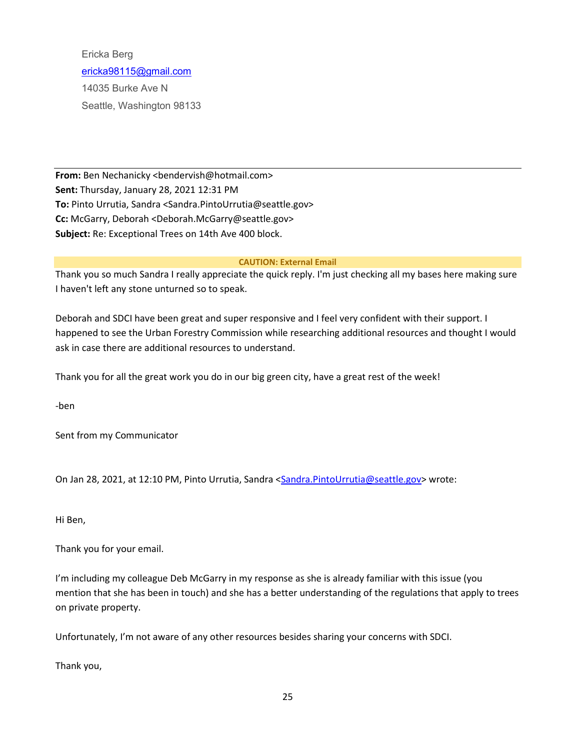Ericka Berg [ericka98115@gmail.com](mailto:ericka98115@gmail.com) 14035 Burke Ave N Seattle, Washington 98133

**From:** Ben Nechanicky <bendervish@hotmail.com> **Sent:** Thursday, January 28, 2021 12:31 PM **To:** Pinto Urrutia, Sandra <Sandra.PintoUrrutia@seattle.gov> **Cc:** McGarry, Deborah <Deborah.McGarry@seattle.gov> **Subject:** Re: Exceptional Trees on 14th Ave 400 block.

#### **CAUTION: External Email**

Thank you so much Sandra I really appreciate the quick reply. I'm just checking all my bases here making sure I haven't left any stone unturned so to speak.

Deborah and SDCI have been great and super responsive and I feel very confident with their support. I happened to see the Urban Forestry Commission while researching additional resources and thought I would ask in case there are additional resources to understand.

Thank you for all the great work you do in our big green city, have a great rest of the week!

-ben

Sent from my Communicator

On Jan 28, 2021, at 12:10 PM, Pinto Urrutia, Sandra [<Sandra.PintoUrrutia@seattle.gov>](mailto:Sandra.PintoUrrutia@seattle.gov) wrote:

Hi Ben,

Thank you for your email.

I'm including my colleague Deb McGarry in my response as she is already familiar with this issue (you mention that she has been in touch) and she has a better understanding of the regulations that apply to trees on private property.

Unfortunately, I'm not aware of any other resources besides sharing your concerns with SDCI.

Thank you,